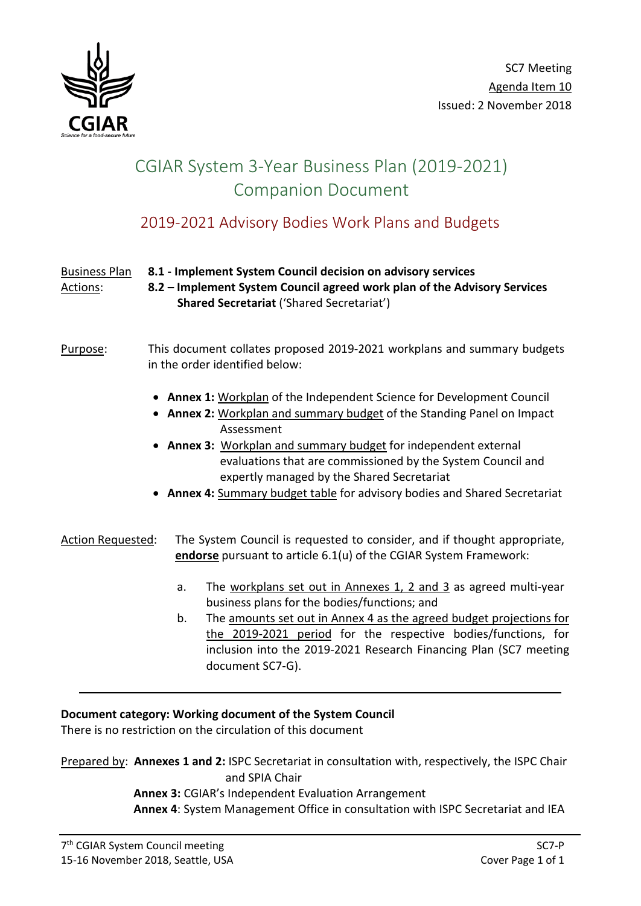

# CGIAR System 3-Year Business Plan (2019-2021) Companion Document

# 2019-2021 Advisory Bodies Work Plans and Budgets

### Business Plan **8.1 - Implement System Council decision on advisory services** Actions: **8.2 – Implement System Council agreed work plan of the Advisory Services Shared Secretariat** ('Shared Secretariat')

### Purpose: This document collates proposed 2019-2021 workplans and summary budgets in the order identified below:

- **Annex 1:** Workplan of the Independent Science for Development Council
- **Annex 2:** Workplan and summary budget of the Standing Panel on Impact Assessment
- **Annex 3:** Workplan and summary budget for independent external evaluations that are commissioned by the System Council and expertly managed by the Shared Secretariat
- **Annex 4:** Summary budget table for advisory bodies and Shared Secretariat

### Action Requested: The System Council is requested to consider, and if thought appropriate, **endorse** pursuant to article 6.1(u) of the CGIAR System Framework:

- a. The workplans set out in Annexes 1, 2 and 3 as agreed multi-year business plans for the bodies/functions; and
- b. The amounts set out in Annex 4 as the agreed budget projections for the 2019-2021 period for the respective bodies/functions, for inclusion into the 2019-2021 Research Financing Plan (SC7 meeting document SC7-G).

### **Document category: Working document of the System Council**

There is no restriction on the circulation of this document

Prepared by: **Annexes 1 and 2:** ISPC Secretariat in consultation with, respectively, the ISPC Chair and SPIA Chair

### **Annex 3:** CGIAR's Independent Evaluation Arrangement

**Annex 4**: System Management Office in consultation with ISPC Secretariat and IEA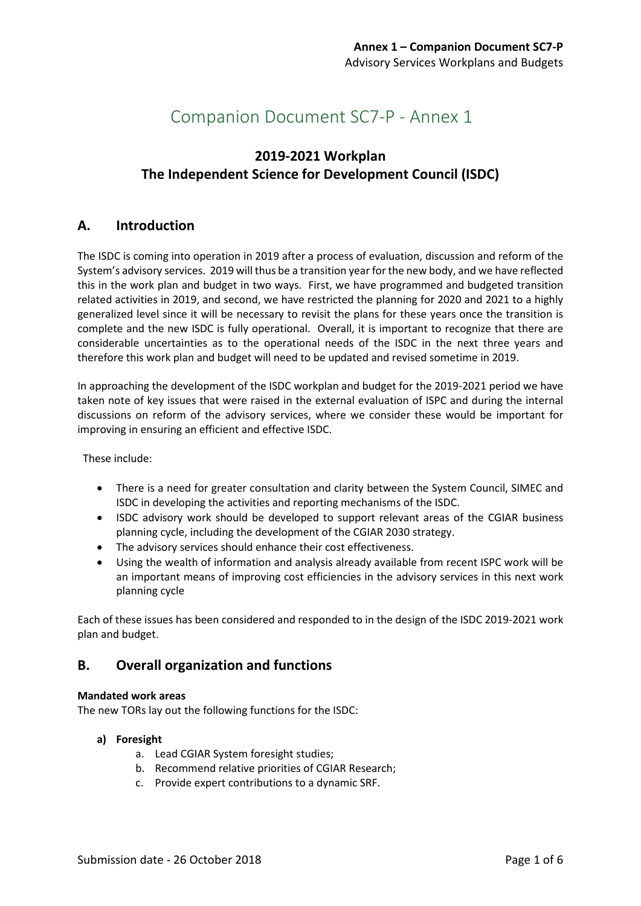# Companion Document SC7-P - Annex 1

### **2019-2021 Workplan The Independent Science for Development Council (ISDC)**

### **A. Introduction**

The ISDC is coming into operation in 2019 after a process of evaluation, discussion and reform of the System's advisory services. 2019 will thus be a transition year for the new body, and we have reflected this in the work plan and budget in two ways. First, we have programmed and budgeted transition related activities in 2019, and second, we have restricted the planning for 2020 and 2021 to a highly generalized level since it will be necessary to revisit the plans for these years once the transition is complete and the new ISDC is fully operational. Overall, it is important to recognize that there are considerable uncertainties as to the operational needs of the ISDC in the next three years and therefore this work plan and budget will need to be updated and revised sometime in 2019.

In approaching the development of the ISDC workplan and budget for the 2019-2021 period we have taken note of key issues that were raised in the external evaluation of ISPC and during the internal discussions on reform of the advisory services, where we consider these would be important for improving in ensuring an efficient and effective ISDC.

These include:

- There is a need for greater consultation and clarity between the System Council, SIMEC and ISDC in developing the activities and reporting mechanisms of the ISDC.
- ISDC advisory work should be developed to support relevant areas of the CGIAR business planning cycle, including the development of the CGIAR 2030 strategy.
- The advisory services should enhance their cost effectiveness.
- Using the wealth of information and analysis already available from recent ISPC work will be an important means of improving cost efficiencies in the advisory services in this next work planning cycle

Each of these issues has been considered and responded to in the design of the ISDC 2019-2021 work plan and budget.

### **B. Overall organization and functions**

### **Mandated work areas**

The new TORs lay out the following functions for the ISDC:

### **a) Foresight**

- a. Lead CGIAR System foresight studies;
- b. Recommend relative priorities of CGIAR Research;
- c. Provide expert contributions to a dynamic SRF.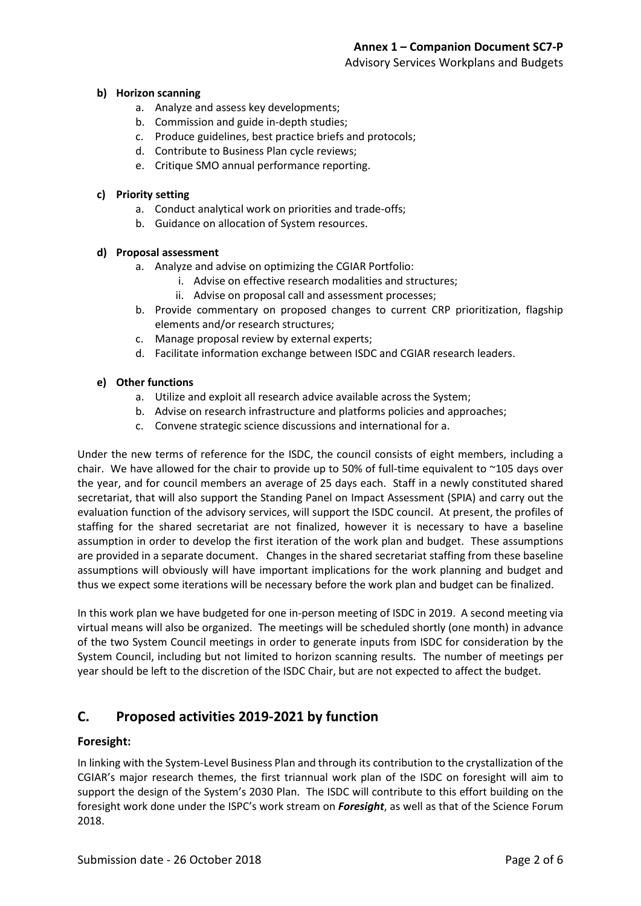### Advisory Services Workplans and Budgets

### **b) Horizon scanning**

- a. Analyze and assess key developments;
- b. Commission and guide in-depth studies;
- c. Produce guidelines, best practice briefs and protocols;
- d. Contribute to Business Plan cycle reviews;
- e. Critique SMO annual performance reporting.

#### **c) Priority setting**

- a. Conduct analytical work on priorities and trade-offs;
- b. Guidance on allocation of System resources.

### **d) Proposal assessment**

- a. Analyze and advise on optimizing the CGIAR Portfolio:
	- i. Advise on effective research modalities and structures;
	- ii. Advise on proposal call and assessment processes;
- b. Provide commentary on proposed changes to current CRP prioritization, flagship elements and/or research structures;
- c. Manage proposal review by external experts;
- d. Facilitate information exchange between ISDC and CGIAR research leaders.

### **e) Other functions**

- a. Utilize and exploit all research advice available across the System;
- b. Advise on research infrastructure and platforms policies and approaches;
- c. Convene strategic science discussions and international for a.

Under the new terms of reference for the ISDC, the council consists of eight members, including a chair. We have allowed for the chair to provide up to 50% of full-time equivalent to ~105 days over the year, and for council members an average of 25 days each. Staff in a newly constituted shared secretariat, that will also support the Standing Panel on Impact Assessment (SPIA) and carry out the evaluation function of the advisory services, will support the ISDC council. At present, the profiles of staffing for the shared secretariat are not finalized, however it is necessary to have a baseline assumption in order to develop the first iteration of the work plan and budget. These assumptions are provided in a separate document. Changes in the shared secretariat staffing from these baseline assumptions will obviously will have important implications for the work planning and budget and thus we expect some iterations will be necessary before the work plan and budget can be finalized.

In this work plan we have budgeted for one in-person meeting of ISDC in 2019. A second meeting via virtual means will also be organized. The meetings will be scheduled shortly (one month) in advance of the two System Council meetings in order to generate inputs from ISDC for consideration by the System Council, including but not limited to horizon scanning results. The number of meetings per year should be left to the discretion of the ISDC Chair, but are not expected to affect the budget.

### **C. Proposed activities 2019-2021 by function**

### **Foresight:**

In linking with the System-Level Business Plan and through its contribution to the crystallization of the CGIAR's major research themes, the first triannual work plan of the ISDC on foresight will aim to support the design of the System's 2030 Plan. The ISDC will contribute to this effort building on the foresight work done under the ISPC's work stream on *Foresight*, as well as that of the Science Forum 2018.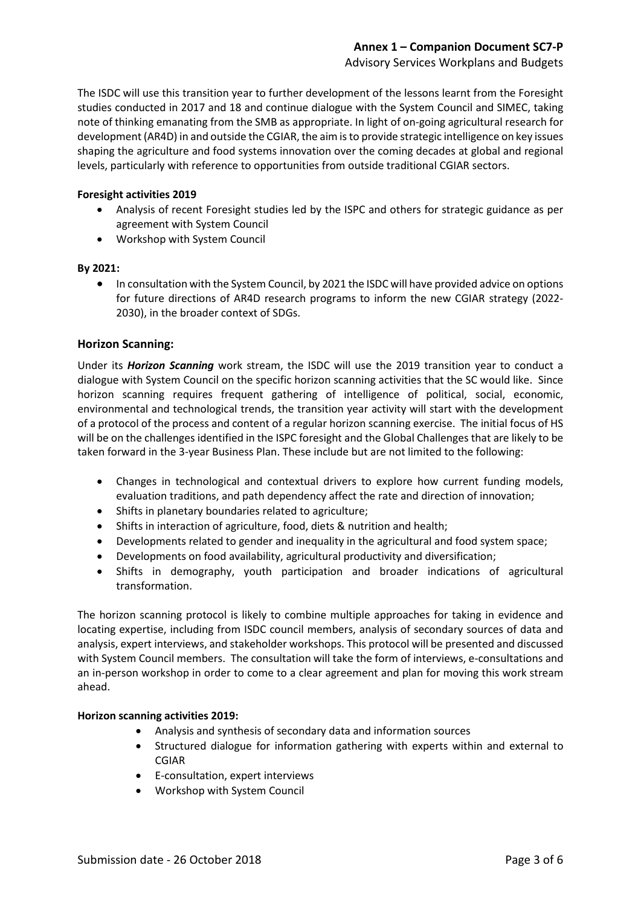### Advisory Services Workplans and Budgets

The ISDC will use this transition year to further development of the lessons learnt from the Foresight studies conducted in 2017 and 18 and continue dialogue with the System Council and SIMEC, taking note of thinking emanating from the SMB as appropriate. In light of on-going agricultural research for development (AR4D) in and outside the CGIAR, the aim is to provide strategic intelligence on key issues shaping the agriculture and food systems innovation over the coming decades at global and regional levels, particularly with reference to opportunities from outside traditional CGIAR sectors.

### **Foresight activities 2019**

- Analysis of recent Foresight studies led by the ISPC and others for strategic guidance as per agreement with System Council
- Workshop with System Council

### **By 2021:**

• In consultation with the System Council, by 2021 the ISDC will have provided advice on options for future directions of AR4D research programs to inform the new CGIAR strategy (2022- 2030), in the broader context of SDGs.

### **Horizon Scanning:**

Under its *Horizon Scanning* work stream, the ISDC will use the 2019 transition year to conduct a dialogue with System Council on the specific horizon scanning activities that the SC would like. Since horizon scanning requires frequent gathering of intelligence of political, social, economic, environmental and technological trends, the transition year activity will start with the development of a protocol of the process and content of a regular horizon scanning exercise. The initial focus of HS will be on the challenges identified in the ISPC foresight and the Global Challenges that are likely to be taken forward in the 3-year Business Plan. These include but are not limited to the following:

- Changes in technological and contextual drivers to explore how current funding models, evaluation traditions, and path dependency affect the rate and direction of innovation;
- Shifts in planetary boundaries related to agriculture;
- Shifts in interaction of agriculture, food, diets & nutrition and health;
- Developments related to gender and inequality in the agricultural and food system space;
- Developments on food availability, agricultural productivity and diversification;
- Shifts in demography, youth participation and broader indications of agricultural transformation.

The horizon scanning protocol is likely to combine multiple approaches for taking in evidence and locating expertise, including from ISDC council members, analysis of secondary sources of data and analysis, expert interviews, and stakeholder workshops. This protocol will be presented and discussed with System Council members. The consultation will take the form of interviews, e-consultations and an in-person workshop in order to come to a clear agreement and plan for moving this work stream ahead.

### **Horizon scanning activities 2019:**

- Analysis and synthesis of secondary data and information sources
- Structured dialogue for information gathering with experts within and external to CGIAR
- E-consultation, expert interviews
- Workshop with System Council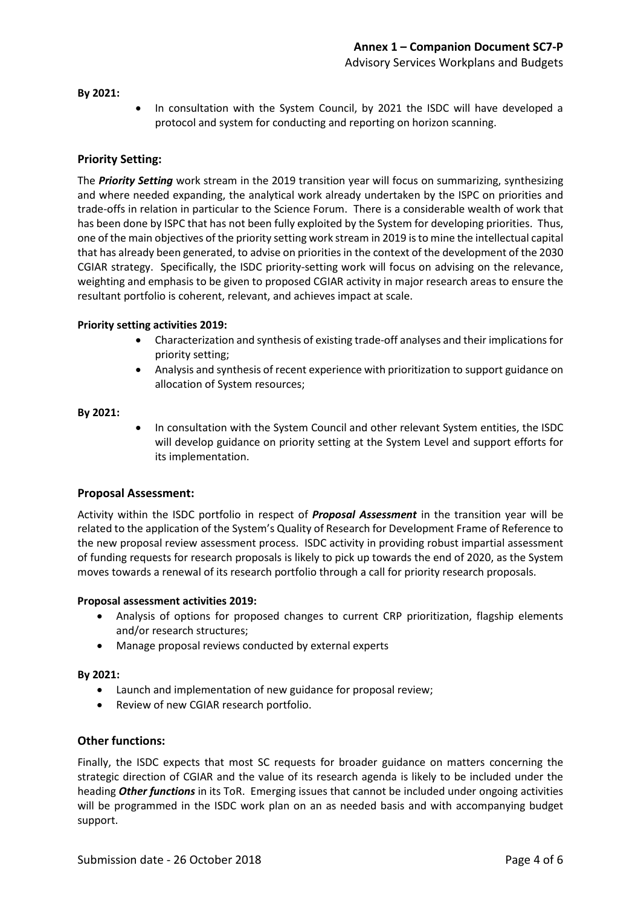#### **By 2021:**

• In consultation with the System Council, by 2021 the ISDC will have developed a protocol and system for conducting and reporting on horizon scanning.

### **Priority Setting:**

The *Priority Setting* work stream in the 2019 transition year will focus on summarizing, synthesizing and where needed expanding, the analytical work already undertaken by the ISPC on priorities and trade-offs in relation in particular to the Science Forum. There is a considerable wealth of work that has been done by ISPC that has not been fully exploited by the System for developing priorities. Thus, one of the main objectives of the priority setting work stream in 2019 is to mine the intellectual capital that has already been generated, to advise on priorities in the context of the development of the 2030 CGIAR strategy. Specifically, the ISDC priority-setting work will focus on advising on the relevance, weighting and emphasis to be given to proposed CGIAR activity in major research areas to ensure the resultant portfolio is coherent, relevant, and achieves impact at scale.

#### **Priority setting activities 2019:**

- Characterization and synthesis of existing trade-off analyses and their implications for priority setting;
- Analysis and synthesis of recent experience with prioritization to support guidance on allocation of System resources;

#### **By 2021:**

• In consultation with the System Council and other relevant System entities, the ISDC will develop guidance on priority setting at the System Level and support efforts for its implementation.

### **Proposal Assessment:**

Activity within the ISDC portfolio in respect of *Proposal Assessment* in the transition year will be related to the application of the System's Quality of Research for Development Frame of Reference to the new proposal review assessment process. ISDC activity in providing robust impartial assessment of funding requests for research proposals is likely to pick up towards the end of 2020, as the System moves towards a renewal of its research portfolio through a call for priority research proposals.

#### **Proposal assessment activities 2019:**

- Analysis of options for proposed changes to current CRP prioritization, flagship elements and/or research structures;
- Manage proposal reviews conducted by external experts

#### **By 2021:**

- Launch and implementation of new guidance for proposal review;
- Review of new CGIAR research portfolio.

### **Other functions:**

Finally, the ISDC expects that most SC requests for broader guidance on matters concerning the strategic direction of CGIAR and the value of its research agenda is likely to be included under the heading *Other functions* in its ToR. Emerging issues that cannot be included under ongoing activities will be programmed in the ISDC work plan on an as needed basis and with accompanying budget support.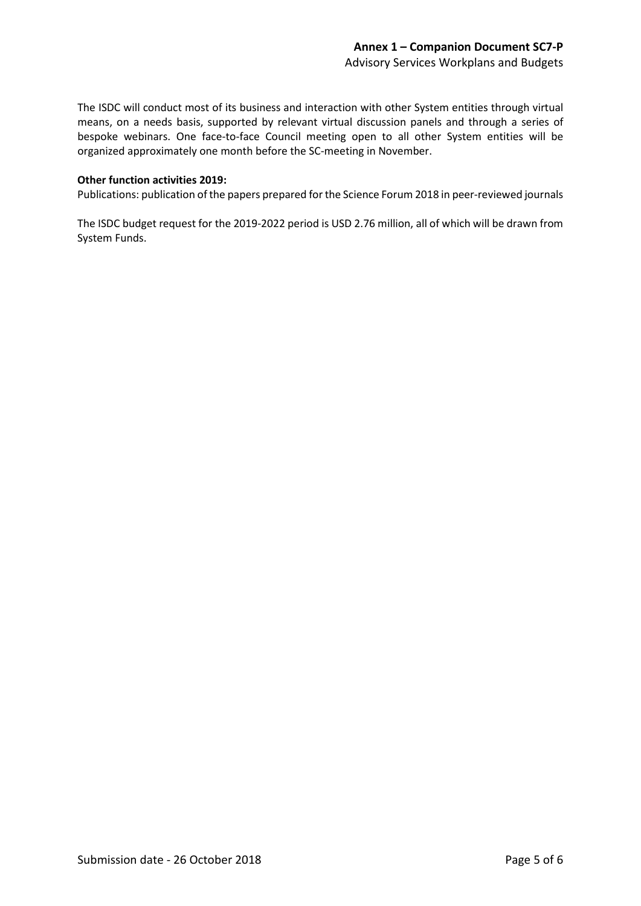The ISDC will conduct most of its business and interaction with other System entities through virtual means, on a needs basis, supported by relevant virtual discussion panels and through a series of bespoke webinars. One face-to-face Council meeting open to all other System entities will be organized approximately one month before the SC-meeting in November.

### **Other function activities 2019:**

Publications: publication of the papers prepared for the Science Forum 2018 in peer-reviewed journals

The ISDC budget request for the 2019-2022 period is USD 2.76 million, all of which will be drawn from System Funds.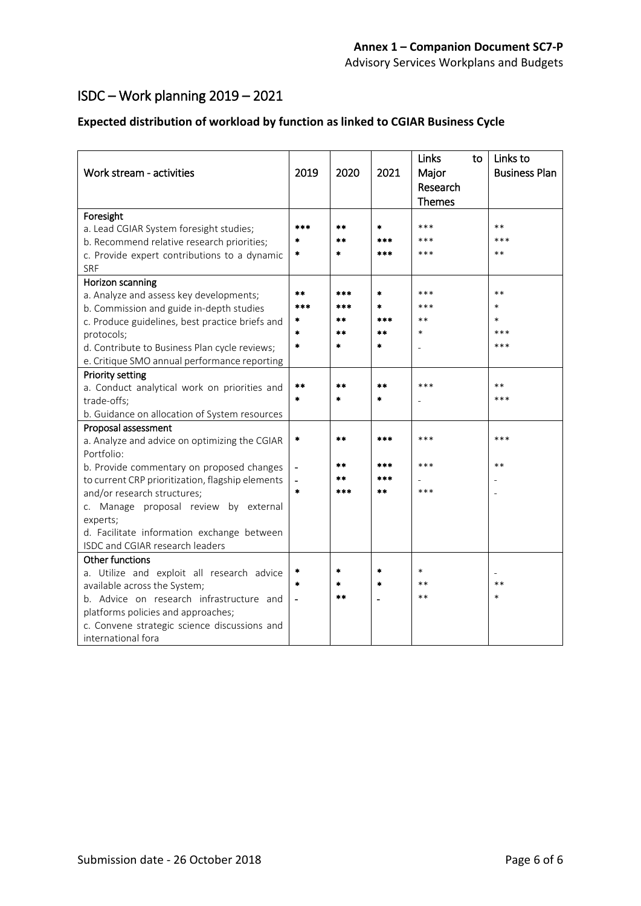# ISDC – Work planning 2019 – 2021

### **Expected distribution of workload by function as linked to CGIAR Business Cycle**

| Work stream - activities                                   | 2019          | 2020            | 2021          | Links<br>to<br>Major<br>Research<br><b>Themes</b> | Links to<br><b>Business Plan</b> |
|------------------------------------------------------------|---------------|-----------------|---------------|---------------------------------------------------|----------------------------------|
| Foresight                                                  |               |                 |               |                                                   |                                  |
| a. Lead CGIAR System foresight studies;                    | ***           | **              | *             | ***                                               | $***$                            |
| b. Recommend relative research priorities;                 |               | $**$            | ***           | ***                                               | ***                              |
| c. Provide expert contributions to a dynamic<br><b>SRF</b> | *             | $\frac{1}{2}$   | ***           | ***                                               | $***$                            |
| Horizon scanning                                           |               |                 |               |                                                   |                                  |
| a. Analyze and assess key developments;                    | **            | ***             | $\frac{1}{2}$ | ***                                               | $***$                            |
| b. Commission and guide in-depth studies                   | ***           | ***             | $\ast$        | ***                                               | *                                |
| c. Produce guidelines, best practice briefs and            |               | $**$            | ***           | $**$                                              | $\ast$                           |
| protocols;                                                 | $\ast$        | $**$            | **            | $\ast$                                            | ***                              |
| d. Contribute to Business Plan cycle reviews;              | $\ast$        | $\ast$          | *             |                                                   | ***                              |
| e. Critique SMO annual performance reporting               |               |                 |               |                                                   |                                  |
| <b>Priority setting</b>                                    |               |                 |               |                                                   |                                  |
| a. Conduct analytical work on priorities and               | $**$          | $**$            | $* *$         | ***                                               | $***$                            |
| trade-offs;                                                | $\frac{1}{2}$ | $\frac{1}{2}$   | $\frac{1}{2}$ |                                                   | ***                              |
| b. Guidance on allocation of System resources              |               |                 |               |                                                   |                                  |
| Proposal assessment                                        |               |                 |               |                                                   |                                  |
| a. Analyze and advice on optimizing the CGIAR              | $\star$       | $**$            | ***           | ***                                               | ***                              |
| Portfolio:                                                 |               |                 |               |                                                   |                                  |
| b. Provide commentary on proposed changes                  |               | $\star$ $\star$ | ***           | ***                                               | $***$                            |
| to current CRP prioritization, flagship elements           |               | $**$            | ***           |                                                   |                                  |
| and/or research structures;                                | $\frac{1}{2}$ | ***             | $* *$         | ***                                               |                                  |
| c. Manage proposal review by external                      |               |                 |               |                                                   |                                  |
| experts;                                                   |               |                 |               |                                                   |                                  |
| d. Facilitate information exchange between                 |               |                 |               |                                                   |                                  |
| ISDC and CGIAR research leaders                            |               |                 |               |                                                   |                                  |
| <b>Other functions</b>                                     |               |                 |               |                                                   |                                  |
| a. Utilize and exploit all research advice                 |               | $\ast$          | $\frac{1}{2}$ | $\ast$                                            |                                  |
| available across the System;                               | $\ast$        | $\pm$           | $\frac{1}{2}$ | $**$                                              | $***$                            |
| b. Advice on research infrastructure and                   |               | $**$            |               | $**$                                              | $\ast$                           |
| platforms policies and approaches;                         |               |                 |               |                                                   |                                  |
| c. Convene strategic science discussions and               |               |                 |               |                                                   |                                  |
| international fora                                         |               |                 |               |                                                   |                                  |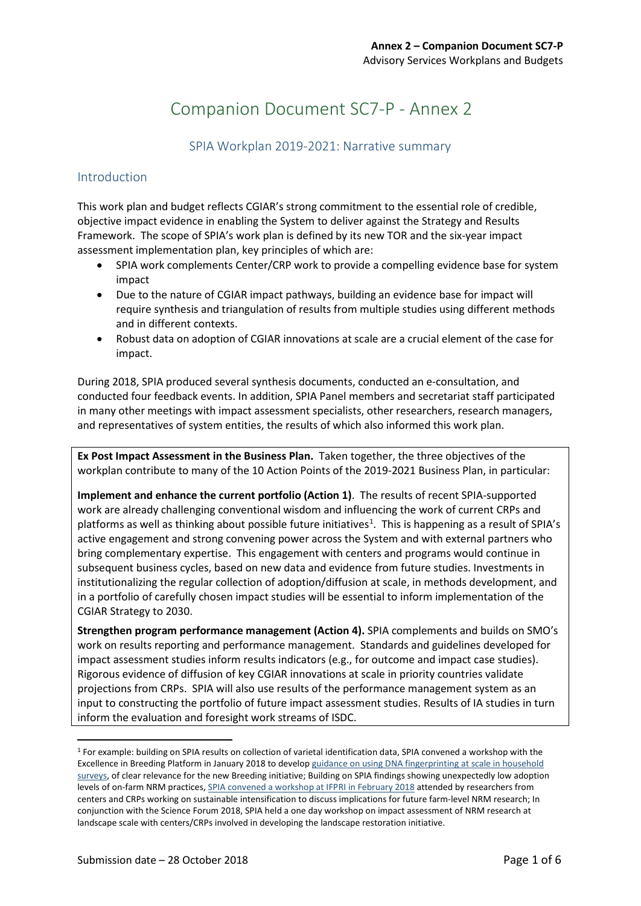# Companion Document SC7-P - Annex 2

### SPIA Workplan 2019-2021: Narrative summary

### Introduction

This work plan and budget reflects CGIAR's strong commitment to the essential role of credible, objective impact evidence in enabling the System to deliver against the Strategy and Results Framework. The scope of SPIA's work plan is defined by its new TOR and the six-year impact assessment implementation plan, key principles of which are:

- SPIA work complements Center/CRP work to provide a compelling evidence base for system impact
- Due to the nature of CGIAR impact pathways, building an evidence base for impact will require synthesis and triangulation of results from multiple studies using different methods and in different contexts.
- Robust data on adoption of CGIAR innovations at scale are a crucial element of the case for impact.

During 2018, SPIA produced several synthesis documents, conducted an e-consultation, and conducted four feedback events. In addition, SPIA Panel members and secretariat staff participated in many other meetings with impact assessment specialists, other researchers, research managers, and representatives of system entities, the results of which also informed this work plan.

**Ex Post Impact Assessment in the Business Plan.** Taken together, the three objectives of the workplan contribute to many of the 10 Action Points of the 2019-2021 Business Plan, in particular:

**Implement and enhance the current portfolio (Action 1)**. The results of recent SPIA-supported work are already challenging conventional wisdom and influencing the work of current CRPs and platforms as well as thinking about possible future initiatives<sup>[1](#page-7-0)</sup>. This is happening as a result of SPIA's active engagement and strong convening power across the System and with external partners who bring complementary expertise. This engagement with centers and programs would continue in subsequent business cycles, based on new data and evidence from future studies. Investments in institutionalizing the regular collection of adoption/diffusion at scale, in methods development, and in a portfolio of carefully chosen impact studies will be essential to inform implementation of the CGIAR Strategy to 2030.

**Strengthen program performance management (Action 4).** SPIA complements and builds on SMO's work on results reporting and performance management. Standards and guidelines developed for impact assessment studies inform results indicators (e.g., for outcome and impact case studies). Rigorous evidence of diffusion of key CGIAR innovations at scale in priority countries validate projections from CRPs. SPIA will also use results of the performance management system as an input to constructing the portfolio of future impact assessment studies. Results of IA studies in turn inform the evaluation and foresight work streams of ISDC.

<span id="page-7-0"></span><sup>&</sup>lt;sup>1</sup> For example: building on SPIA results on collection of varietal identification data, SPIA convened a workshop with the Excellence in Breeding Platform in January 2018 to develo[p guidance on using DNA fingerprinting at scale in household](https://ispc.cgiar.org/meetings-and-events/towards-best-practice-guidelines-integrating-dna-fingerprinting-crops-large)  [surveys,](https://ispc.cgiar.org/meetings-and-events/towards-best-practice-guidelines-integrating-dna-fingerprinting-crops-large) of clear relevance for the new Breeding initiative; Building on SPIA findings showing unexpectedly low adoption levels of on-farm NRM practices[, SPIA convened a workshop at IFPRI in February 2018](https://ispc.cgiar.org/meetings-and-events/assessing-impact-research-managing-natural-resources-sustainable-production) attended by researchers from centers and CRPs working on sustainable intensification to discuss implications for future farm-level NRM research; In conjunction with the Science Forum 2018, SPIA held a one day workshop on impact assessment of NRM research at landscape scale with centers/CRPs involved in developing the landscape restoration initiative.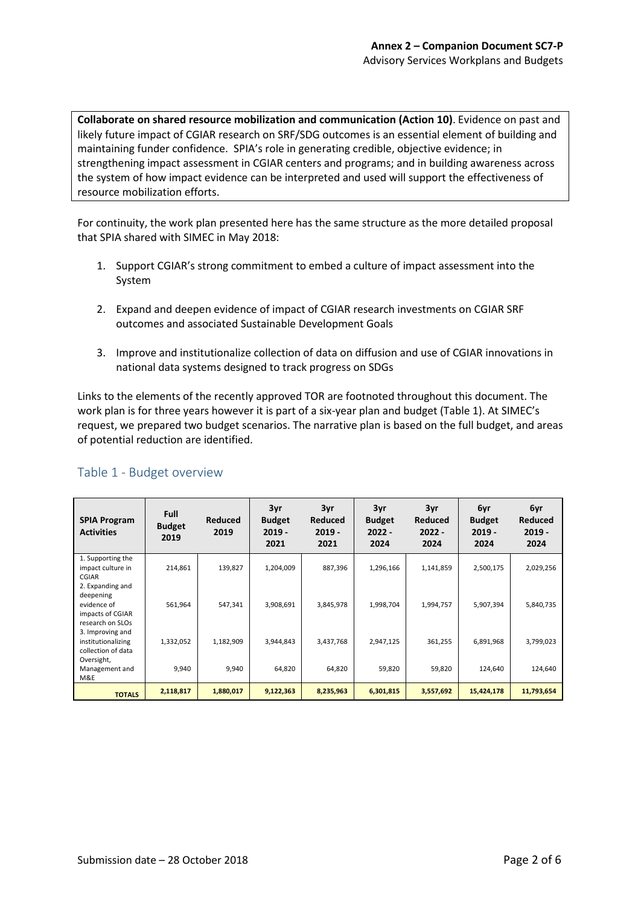**Collaborate on shared resource mobilization and communication (Action 10)**. Evidence on past and likely future impact of CGIAR research on SRF/SDG outcomes is an essential element of building and maintaining funder confidence. SPIA's role in generating credible, objective evidence; in strengthening impact assessment in CGIAR centers and programs; and in building awareness across the system of how impact evidence can be interpreted and used will support the effectiveness of resource mobilization efforts.

For continuity, the work plan presented here has the same structure as the more detailed proposal that SPIA shared with SIMEC in May 2018:

- 1. Support CGIAR's strong commitment to embed a culture of impact assessment into the System
- 2. Expand and deepen evidence of impact of CGIAR research investments on CGIAR SRF outcomes and associated Sustainable Development Goals
- 3. Improve and institutionalize collection of data on diffusion and use of CGIAR innovations in national data systems designed to track progress on SDGs

Links to the elements of the recently approved TOR are footnoted throughout this document. The work plan is for three years however it is part of a six-year plan and budget (Table 1). At SIMEC's request, we prepared two budget scenarios. The narrative plan is based on the full budget, and areas of potential reduction are identified.

| <b>SPIA Program</b><br><b>Activities</b>                                             | <b>Full</b><br><b>Budget</b><br>2019 | Reduced<br>2019 | 3yr<br><b>Budget</b><br>$2019 -$<br>2021 | 3yr<br><b>Reduced</b><br>$2019 -$<br>2021 | 3yr<br><b>Budget</b><br>$2022 -$<br>2024 | 3yr<br><b>Reduced</b><br>$2022 -$<br>2024 | 6yr<br><b>Budget</b><br>$2019 -$<br>2024 | 6yr<br>Reduced<br>$2019 -$<br>2024 |
|--------------------------------------------------------------------------------------|--------------------------------------|-----------------|------------------------------------------|-------------------------------------------|------------------------------------------|-------------------------------------------|------------------------------------------|------------------------------------|
| 1. Supporting the<br>impact culture in<br>CGIAR                                      | 214,861                              | 139,827         | 1,204,009                                | 887,396                                   | 1,296,166                                | 1,141,859                                 | 2,500,175                                | 2,029,256                          |
| 2. Expanding and<br>deepening<br>evidence of<br>impacts of CGIAR<br>research on SLOs | 561,964                              | 547,341         | 3,908,691                                | 3,845,978                                 | 1,998,704                                | 1,994,757                                 | 5,907,394                                | 5,840,735                          |
| 3. Improving and<br>institutionalizing<br>collection of data                         | 1,332,052                            | 1,182,909       | 3,944,843                                | 3,437,768                                 | 2,947,125                                | 361,255                                   | 6,891,968                                | 3,799,023                          |
| Oversight,<br>Management and<br>M&E                                                  | 9,940                                | 9,940           | 64,820                                   | 64,820                                    | 59,820                                   | 59,820                                    | 124,640                                  | 124,640                            |
| <b>TOTALS</b>                                                                        | 2,118,817                            | 1,880,017       | 9,122,363                                | 8,235,963                                 | 6,301,815                                | 3,557,692                                 | 15,424,178                               | 11,793,654                         |

### Table 1 - Budget overview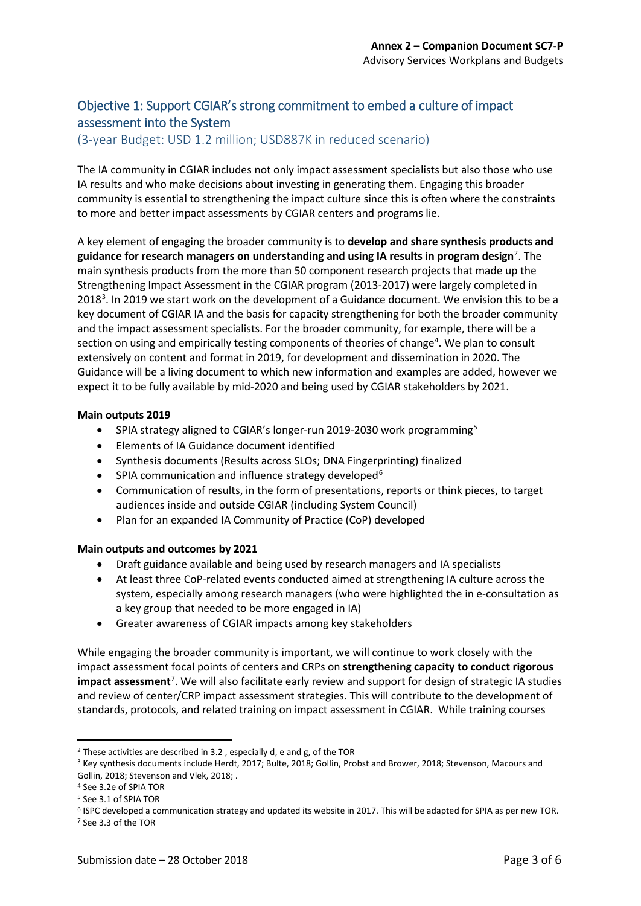### Objective 1: Support CGIAR's strong commitment to embed a culture of impact assessment into the System

(3-year Budget: USD 1.2 million; USD887K in reduced scenario)

The IA community in CGIAR includes not only impact assessment specialists but also those who use IA results and who make decisions about investing in generating them. Engaging this broader community is essential to strengthening the impact culture since this is often where the constraints to more and better impact assessments by CGIAR centers and programs lie.

A key element of engaging the broader community is to **develop and share synthesis products and**  guidance for research managers on understanding and using IA results in program design<sup>[2](#page-9-0)</sup>. The main synthesis products from the more than 50 component research projects that made up the Strengthening Impact Assessment in the CGIAR program (2013-2017) were largely completed in 2018<sup>[3](#page-9-1)</sup>. In 2019 we start work on the development of a Guidance document. We envision this to be a key document of CGIAR IA and the basis for capacity strengthening for both the broader community and the impact assessment specialists. For the broader community, for example, there will be a section on using and empirically testing components of theories of change<sup>[4](#page-9-2)</sup>. We plan to consult extensively on content and format in 2019, for development and dissemination in 2020. The Guidance will be a living document to which new information and examples are added, however we expect it to be fully available by mid-2020 and being used by CGIAR stakeholders by 2021.

### **Main outputs 2019**

- SPIA strategy aligned to CGIAR's longer-run 2019-2030 work programming<sup>[5](#page-9-3)</sup>
- Elements of IA Guidance document identified
- Synthesis documents (Results across SLOs; DNA Fingerprinting) finalized
- SPIA communication and influence strategy developed<sup>[6](#page-9-4)</sup>
- Communication of results, in the form of presentations, reports or think pieces, to target audiences inside and outside CGIAR (including System Council)
- Plan for an expanded IA Community of Practice (CoP) developed

### **Main outputs and outcomes by 2021**

- Draft guidance available and being used by research managers and IA specialists
- At least three CoP-related events conducted aimed at strengthening IA culture across the system, especially among research managers (who were highlighted the in e-consultation as a key group that needed to be more engaged in IA)
- Greater awareness of CGIAR impacts among key stakeholders

While engaging the broader community is important, we will continue to work closely with the impact assessment focal points of centers and CRPs on **strengthening capacity to conduct rigorous**  impact assessment<sup>[7](#page-9-5)</sup>. We will also facilitate early review and support for design of strategic IA studies and review of center/CRP impact assessment strategies. This will contribute to the development of standards, protocols, and related training on impact assessment in CGIAR. While training courses

<span id="page-9-0"></span> $2$  These activities are described in 3.2, especially d, e and g, of the TOR

<span id="page-9-1"></span><sup>3</sup> Key synthesis documents include Herdt, 2017; Bulte, 2018; Gollin, Probst and Brower, 2018; Stevenson, Macours and Gollin, 2018; Stevenson and Vlek, 2018; .

<span id="page-9-2"></span><sup>4</sup> See 3.2e of SPIA TOR

<span id="page-9-3"></span><sup>5</sup> See 3.1 of SPIA TOR

<span id="page-9-5"></span><span id="page-9-4"></span><sup>6</sup> ISPC developed a communication strategy and updated its website in 2017. This will be adapted for SPIA as per new TOR. <sup>7</sup> See 3.3 of the TOR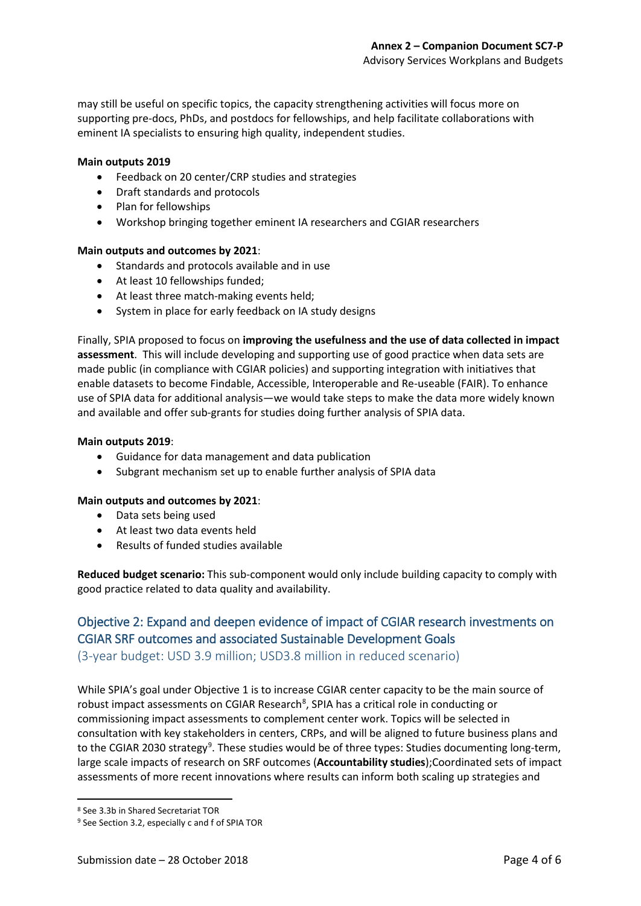may still be useful on specific topics, the capacity strengthening activities will focus more on supporting pre-docs, PhDs, and postdocs for fellowships, and help facilitate collaborations with eminent IA specialists to ensuring high quality, independent studies.

### **Main outputs 2019**

- Feedback on 20 center/CRP studies and strategies
- Draft standards and protocols
- Plan for fellowships
- Workshop bringing together eminent IA researchers and CGIAR researchers

#### **Main outputs and outcomes by 2021**:

- Standards and protocols available and in use
- At least 10 fellowships funded;
- At least three match-making events held;
- System in place for early feedback on IA study designs

Finally, SPIA proposed to focus on **improving the usefulness and the use of data collected in impact assessment**. This will include developing and supporting use of good practice when data sets are made public (in compliance with CGIAR policies) and supporting integration with initiatives that enable datasets to become Findable, Accessible, Interoperable and Re-useable (FAIR). To enhance use of SPIA data for additional analysis—we would take steps to make the data more widely known and available and offer sub-grants for studies doing further analysis of SPIA data.

### **Main outputs 2019**:

- Guidance for data management and data publication
- Subgrant mechanism set up to enable further analysis of SPIA data

### **Main outputs and outcomes by 2021**:

- Data sets being used
- At least two data events held
- Results of funded studies available

**Reduced budget scenario:** This sub-component would only include building capacity to comply with good practice related to data quality and availability.

### Objective 2: Expand and deepen evidence of impact of CGIAR research investments on CGIAR SRF outcomes and associated Sustainable Development Goals

(3-year budget: USD 3.9 million; USD3.8 million in reduced scenario)

While SPIA's goal under Objective 1 is to increase CGIAR center capacity to be the main source of robust impact assessments on CGIAR Research<sup>[8](#page-10-0)</sup>, SPIA has a critical role in conducting or commissioning impact assessments to complement center work. Topics will be selected in consultation with key stakeholders in centers, CRPs, and will be aligned to future business plans and to the CGIAR 2030 strategy<sup>[9](#page-10-1)</sup>. These studies would be of three types: Studies documenting long-term, large scale impacts of research on SRF outcomes (**Accountability studies**);Coordinated sets of impact assessments of more recent innovations where results can inform both scaling up strategies and

<span id="page-10-0"></span> <sup>8</sup> See 3.3b in Shared Secretariat TOR

<span id="page-10-1"></span><sup>&</sup>lt;sup>9</sup> See Section 3.2, especially c and f of SPIA TOR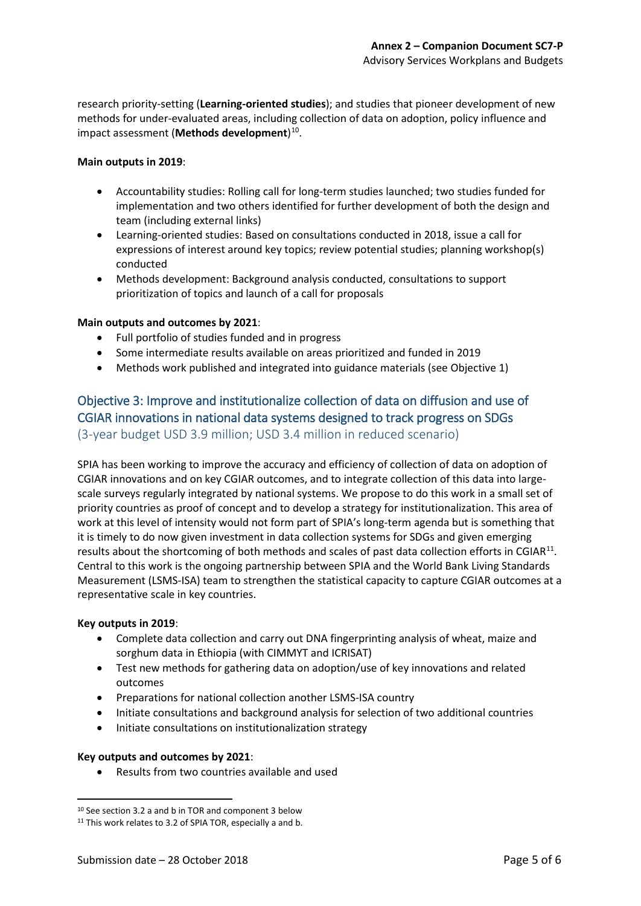research priority-setting (**Learning-oriented studies**); and studies that pioneer development of new methods for under-evaluated areas, including collection of data on adoption, policy influence and impact assessment (**Methods development**) [10.](#page-11-0)

### **Main outputs in 2019**:

- Accountability studies: Rolling call for long-term studies launched; two studies funded for implementation and two others identified for further development of both the design and team (including external links)
- Learning-oriented studies: Based on consultations conducted in 2018, issue a call for expressions of interest around key topics; review potential studies; planning workshop(s) conducted
- Methods development: Background analysis conducted, consultations to support prioritization of topics and launch of a call for proposals

#### **Main outputs and outcomes by 2021**:

- Full portfolio of studies funded and in progress
- Some intermediate results available on areas prioritized and funded in 2019
- Methods work published and integrated into guidance materials (see Objective 1)

### Objective 3: Improve and institutionalize collection of data on diffusion and use of CGIAR innovations in national data systems designed to track progress on SDGs (3-year budget USD 3.9 million; USD 3.4 million in reduced scenario)

SPIA has been working to improve the accuracy and efficiency of collection of data on adoption of CGIAR innovations and on key CGIAR outcomes, and to integrate collection of this data into largescale surveys regularly integrated by national systems. We propose to do this work in a small set of priority countries as proof of concept and to develop a strategy for institutionalization. This area of work at this level of intensity would not form part of SPIA's long-term agenda but is something that it is timely to do now given investment in data collection systems for SDGs and given emerging results about the shortcoming of both methods and scales of past data collection efforts in CGIAR<sup>[11](#page-11-1)</sup>. Central to this work is the ongoing partnership between SPIA and the World Bank Living Standards Measurement (LSMS-ISA) team to strengthen the statistical capacity to capture CGIAR outcomes at a representative scale in key countries.

#### **Key outputs in 2019**:

- Complete data collection and carry out DNA fingerprinting analysis of wheat, maize and sorghum data in Ethiopia (with CIMMYT and ICRISAT)
- Test new methods for gathering data on adoption/use of key innovations and related outcomes
- Preparations for national collection another LSMS-ISA country
- Initiate consultations and background analysis for selection of two additional countries
- Initiate consultations on institutionalization strategy

### **Key outputs and outcomes by 2021**:

• Results from two countries available and used

<span id="page-11-0"></span> <sup>10</sup> See section 3.2 a and b in TOR and component 3 below

<span id="page-11-1"></span><sup>&</sup>lt;sup>11</sup> This work relates to 3.2 of SPIA TOR, especially a and b.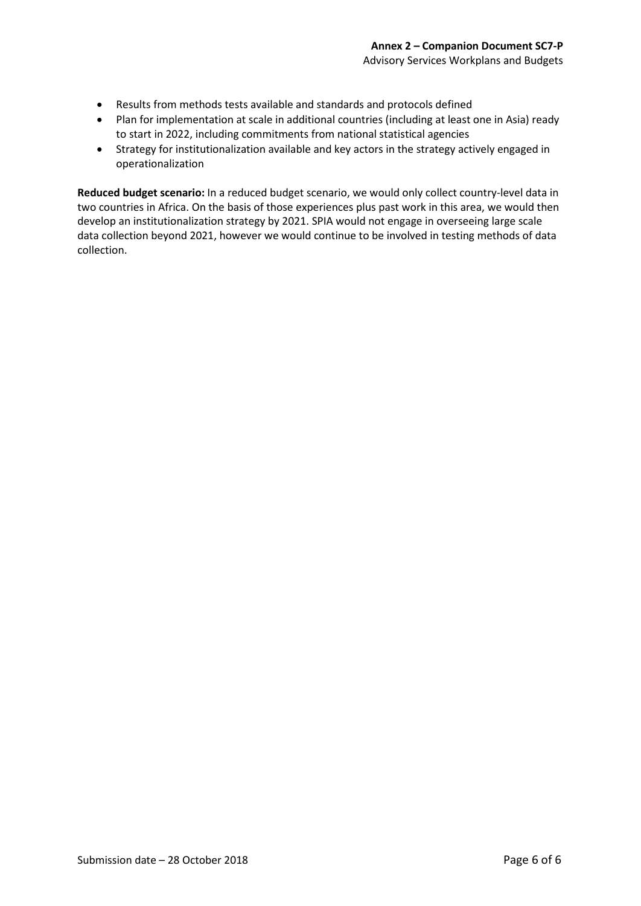- Results from methods tests available and standards and protocols defined
- Plan for implementation at scale in additional countries (including at least one in Asia) ready to start in 2022, including commitments from national statistical agencies
- Strategy for institutionalization available and key actors in the strategy actively engaged in operationalization

**Reduced budget scenario:** In a reduced budget scenario, we would only collect country-level data in two countries in Africa. On the basis of those experiences plus past work in this area, we would then develop an institutionalization strategy by 2021. SPIA would not engage in overseeing large scale data collection beyond 2021, however we would continue to be involved in testing methods of data collection.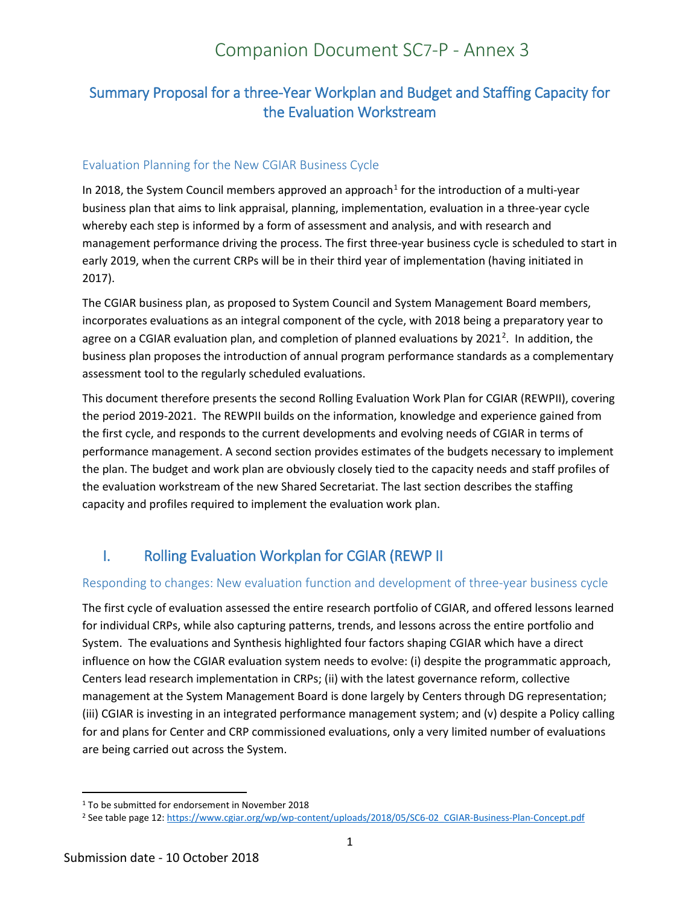# Companion Document SC7-P - Annex 3

## Summary Proposal for a three-Year Workplan and Budget and Staffing Capacity for the Evaluation Workstream

### Evaluation Planning for the New CGIAR Business Cycle

In 20[1](#page-13-0)8, the System Council members approved an approach<sup>1</sup> for the introduction of a multi-year business plan that aims to link appraisal, planning, implementation, evaluation in a three-year cycle whereby each step is informed by a form of assessment and analysis, and with research and management performance driving the process. The first three-year business cycle is scheduled to start in early 2019, when the current CRPs will be in their third year of implementation (having initiated in 2017).

The CGIAR business plan, as proposed to System Council and System Management Board members, incorporates evaluations as an integral component of the cycle, with 2018 being a preparatory year to agree on a CGIAR evaluation plan, and completion of planned evaluations by [2](#page-13-1)021<sup>2</sup>. In addition, the business plan proposes the introduction of annual program performance standards as a complementary assessment tool to the regularly scheduled evaluations.

This document therefore presents the second Rolling Evaluation Work Plan for CGIAR (REWPII), covering the period 2019-2021. The REWPII builds on the information, knowledge and experience gained from the first cycle, and responds to the current developments and evolving needs of CGIAR in terms of performance management. A second section provides estimates of the budgets necessary to implement the plan. The budget and work plan are obviously closely tied to the capacity needs and staff profiles of the evaluation workstream of the new Shared Secretariat. The last section describes the staffing capacity and profiles required to implement the evaluation work plan.

## I. Rolling Evaluation Workplan for CGIAR (REWP II

### Responding to changes: New evaluation function and development of three-year business cycle

The first cycle of evaluation assessed the entire research portfolio of CGIAR, and offered lessons learned for individual CRPs, while also capturing patterns, trends, and lessons across the entire portfolio and System. The evaluations and Synthesis highlighted four factors shaping CGIAR which have a direct influence on how the CGIAR evaluation system needs to evolve: (i) despite the programmatic approach, Centers lead research implementation in CRPs; (ii) with the latest governance reform, collective management at the System Management Board is done largely by Centers through DG representation; (iii) CGIAR is investing in an integrated performance management system; and (v) despite a Policy calling for and plans for Center and CRP commissioned evaluations, only a very limited number of evaluations are being carried out across the System.

<span id="page-13-0"></span><sup>&</sup>lt;sup>1</sup> To be submitted for endorsement in November 2018

<span id="page-13-1"></span><sup>2</sup> See table page 12[: https://www.cgiar.org/wp/wp-content/uploads/2018/05/SC6-02\\_CGIAR-Business-Plan-Concept.pdf](https://www.cgiar.org/wp/wp-content/uploads/2018/05/SC6-02_CGIAR-Business-Plan-Concept.pdf)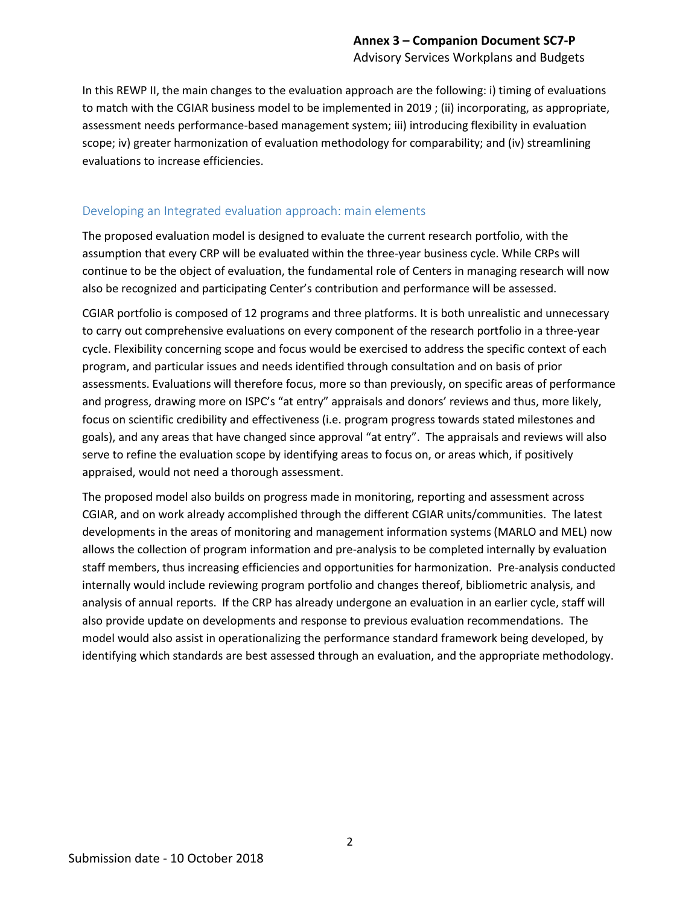In this REWP II, the main changes to the evaluation approach are the following: i) timing of evaluations to match with the CGIAR business model to be implemented in 2019 ; (ii) incorporating, as appropriate, assessment needs performance-based management system; iii) introducing flexibility in evaluation scope; iv) greater harmonization of evaluation methodology for comparability; and (iv) streamlining evaluations to increase efficiencies.

### Developing an Integrated evaluation approach: main elements

The proposed evaluation model is designed to evaluate the current research portfolio, with the assumption that every CRP will be evaluated within the three-year business cycle. While CRPs will continue to be the object of evaluation, the fundamental role of Centers in managing research will now also be recognized and participating Center's contribution and performance will be assessed.

CGIAR portfolio is composed of 12 programs and three platforms. It is both unrealistic and unnecessary to carry out comprehensive evaluations on every component of the research portfolio in a three-year cycle. Flexibility concerning scope and focus would be exercised to address the specific context of each program, and particular issues and needs identified through consultation and on basis of prior assessments. Evaluations will therefore focus, more so than previously, on specific areas of performance and progress, drawing more on ISPC's "at entry" appraisals and donors' reviews and thus, more likely, focus on scientific credibility and effectiveness (i.e. program progress towards stated milestones and goals), and any areas that have changed since approval "at entry". The appraisals and reviews will also serve to refine the evaluation scope by identifying areas to focus on, or areas which, if positively appraised, would not need a thorough assessment.

The proposed model also builds on progress made in monitoring, reporting and assessment across CGIAR, and on work already accomplished through the different CGIAR units/communities. The latest developments in the areas of monitoring and management information systems (MARLO and MEL) now allows the collection of program information and pre-analysis to be completed internally by evaluation staff members, thus increasing efficiencies and opportunities for harmonization. Pre-analysis conducted internally would include reviewing program portfolio and changes thereof, bibliometric analysis, and analysis of annual reports. If the CRP has already undergone an evaluation in an earlier cycle, staff will also provide update on developments and response to previous evaluation recommendations. The model would also assist in operationalizing the performance standard framework being developed, by identifying which standards are best assessed through an evaluation, and the appropriate methodology.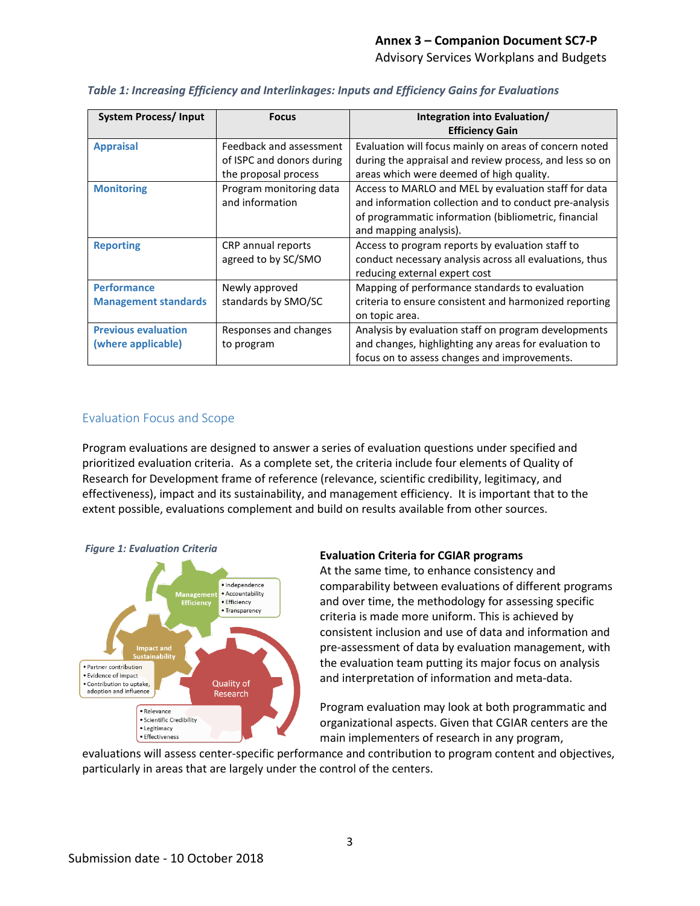| <b>System Process/Input</b> | <b>Focus</b>              | Integration into Evaluation/                            |
|-----------------------------|---------------------------|---------------------------------------------------------|
|                             |                           | <b>Efficiency Gain</b>                                  |
| <b>Appraisal</b>            | Feedback and assessment   | Evaluation will focus mainly on areas of concern noted  |
|                             | of ISPC and donors during | during the appraisal and review process, and less so on |
|                             | the proposal process      | areas which were deemed of high quality.                |
| <b>Monitoring</b>           | Program monitoring data   | Access to MARLO and MEL by evaluation staff for data    |
|                             | and information           | and information collection and to conduct pre-analysis  |
|                             |                           | of programmatic information (bibliometric, financial    |
|                             |                           | and mapping analysis).                                  |
| <b>Reporting</b>            | CRP annual reports        | Access to program reports by evaluation staff to        |
|                             | agreed to by SC/SMO       | conduct necessary analysis across all evaluations, thus |
|                             |                           | reducing external expert cost                           |
| <b>Performance</b>          | Newly approved            | Mapping of performance standards to evaluation          |
| <b>Management standards</b> | standards by SMO/SC       | criteria to ensure consistent and harmonized reporting  |
|                             |                           | on topic area.                                          |
| <b>Previous evaluation</b>  | Responses and changes     | Analysis by evaluation staff on program developments    |
| (where applicable)          | to program                | and changes, highlighting any areas for evaluation to   |
|                             |                           | focus on to assess changes and improvements.            |

#### *Table 1: Increasing Efficiency and Interlinkages: Inputs and Efficiency Gains for Evaluations*

### Evaluation Focus and Scope

Program evaluations are designed to answer a series of evaluation questions under specified and prioritized evaluation criteria. As a complete set, the criteria include four elements of Quality of Research for Development frame of reference (relevance, scientific credibility, legitimacy, and effectiveness), impact and its sustainability, and management efficiency. It is important that to the extent possible, evaluations complement and build on results available from other sources.



#### **Evaluation Criteria for CGIAR programs**

At the same time, to enhance consistency and comparability between evaluations of different programs and over time, the methodology for assessing specific criteria is made more uniform. This is achieved by consistent inclusion and use of data and information and pre-assessment of data by evaluation management, with the evaluation team putting its major focus on analysis and interpretation of information and meta-data.

Program evaluation may look at both programmatic and organizational aspects. Given that CGIAR centers are the main implementers of research in any program,

evaluations will assess center-specific performance and contribution to program content and objectives, particularly in areas that are largely under the control of the centers.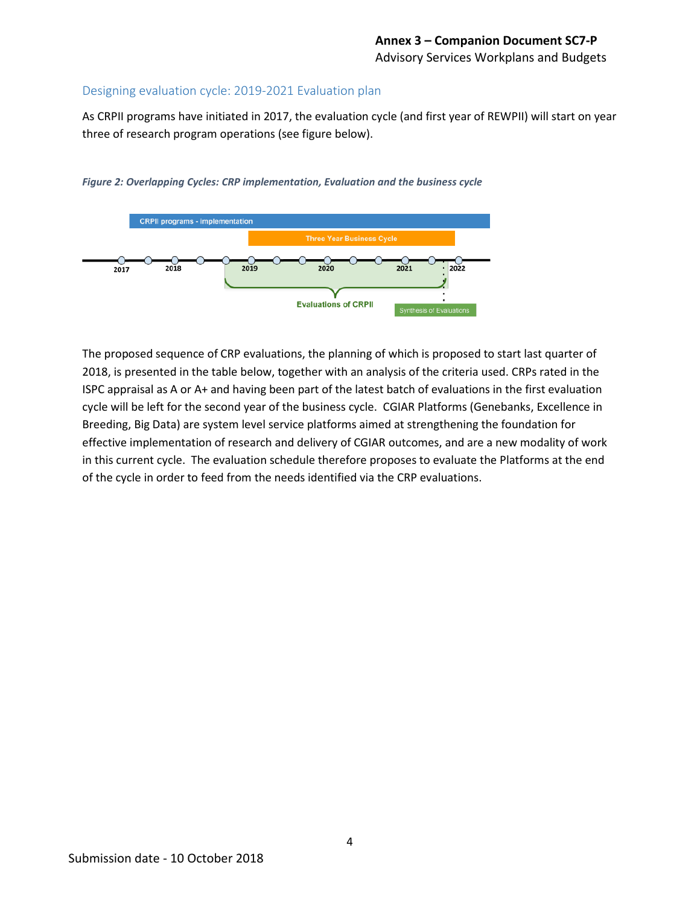### Designing evaluation cycle: 2019-2021 Evaluation plan

As CRPII programs have initiated in 2017, the evaluation cycle (and first year of REWPII) will start on year three of research program operations (see figure below).

*Figure 2: Overlapping Cycles: CRP implementation, Evaluation and the business cycle*



The proposed sequence of CRP evaluations, the planning of which is proposed to start last quarter of 2018, is presented in the table below, together with an analysis of the criteria used. CRPs rated in the ISPC appraisal as A or A+ and having been part of the latest batch of evaluations in the first evaluation cycle will be left for the second year of the business cycle. CGIAR Platforms (Genebanks, Excellence in Breeding, Big Data) are system level service platforms aimed at strengthening the foundation for effective implementation of research and delivery of CGIAR outcomes, and are a new modality of work in this current cycle. The evaluation schedule therefore proposes to evaluate the Platforms at the end of the cycle in order to feed from the needs identified via the CRP evaluations.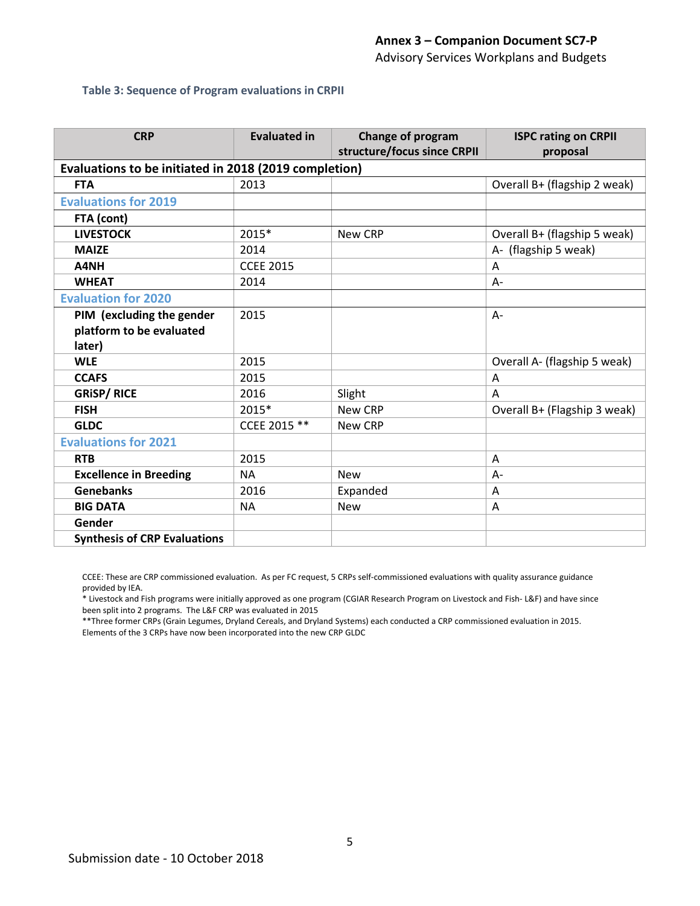Advisory Services Workplans and Budgets

#### **Table 3: Sequence of Program evaluations in CRPII**

| <b>CRP</b>                                            | <b>Evaluated in</b> | Change of program           | <b>ISPC rating on CRPII</b>  |  |  |  |  |  |
|-------------------------------------------------------|---------------------|-----------------------------|------------------------------|--|--|--|--|--|
|                                                       |                     | structure/focus since CRPII | proposal                     |  |  |  |  |  |
| Evaluations to be initiated in 2018 (2019 completion) |                     |                             |                              |  |  |  |  |  |
| <b>FTA</b>                                            | 2013                |                             | Overall B+ (flagship 2 weak) |  |  |  |  |  |
| <b>Evaluations for 2019</b>                           |                     |                             |                              |  |  |  |  |  |
| FTA (cont)                                            |                     |                             |                              |  |  |  |  |  |
| <b>LIVESTOCK</b>                                      | 2015*               | New CRP                     | Overall B+ (flagship 5 weak) |  |  |  |  |  |
| <b>MAIZE</b>                                          | 2014                |                             | A- (flagship 5 weak)         |  |  |  |  |  |
| A4NH                                                  | <b>CCEE 2015</b>    |                             | A                            |  |  |  |  |  |
| <b>WHEAT</b>                                          | 2014                |                             | $A -$                        |  |  |  |  |  |
| <b>Evaluation for 2020</b>                            |                     |                             |                              |  |  |  |  |  |
| PIM (excluding the gender                             | 2015                |                             | $A -$                        |  |  |  |  |  |
| platform to be evaluated                              |                     |                             |                              |  |  |  |  |  |
| later)                                                |                     |                             |                              |  |  |  |  |  |
| <b>WLE</b>                                            | 2015                |                             | Overall A- (flagship 5 weak) |  |  |  |  |  |
| <b>CCAFS</b>                                          | 2015                |                             | Α                            |  |  |  |  |  |
| <b>GRISP/RICE</b>                                     | 2016                | Slight                      | A                            |  |  |  |  |  |
| <b>FISH</b>                                           | 2015*               | New CRP                     | Overall B+ (Flagship 3 weak) |  |  |  |  |  |
| <b>GLDC</b>                                           | CCEE 2015 **        | New CRP                     |                              |  |  |  |  |  |
| <b>Evaluations for 2021</b>                           |                     |                             |                              |  |  |  |  |  |
| <b>RTB</b>                                            | 2015                |                             | A                            |  |  |  |  |  |
| <b>Excellence in Breeding</b>                         | <b>NA</b>           | <b>New</b>                  | A-                           |  |  |  |  |  |
| <b>Genebanks</b>                                      | 2016                | Expanded                    | Α                            |  |  |  |  |  |
| <b>BIG DATA</b>                                       | <b>NA</b>           | <b>New</b>                  | A                            |  |  |  |  |  |
| Gender                                                |                     |                             |                              |  |  |  |  |  |
| <b>Synthesis of CRP Evaluations</b>                   |                     |                             |                              |  |  |  |  |  |

CCEE: These are CRP commissioned evaluation. As per FC request, 5 CRPs self-commissioned evaluations with quality assurance guidance provided by IEA.

\* Livestock and Fish programs were initially approved as one program (CGIAR Research Program on Livestock and Fish- L&F) and have since been split into 2 programs. The L&F CRP was evaluated in 2015

\*\*Three former CRPs (Grain Legumes, Dryland Cereals, and Dryland Systems) each conducted a CRP commissioned evaluation in 2015. Elements of the 3 CRPs have now been incorporated into the new CRP GLDC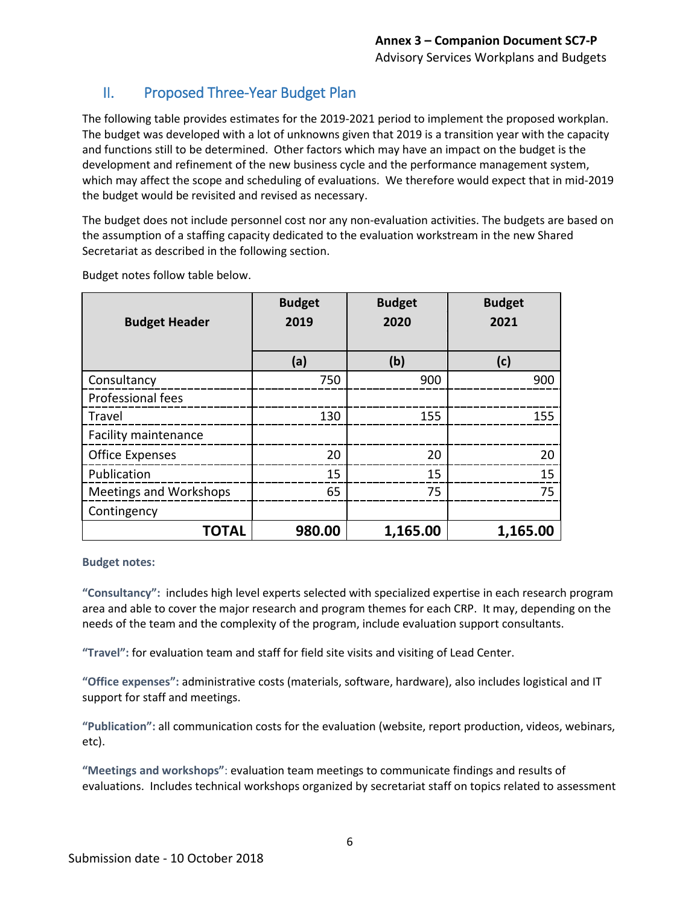### II. Proposed Three-Year Budget Plan

The following table provides estimates for the 2019-2021 period to implement the proposed workplan. The budget was developed with a lot of unknowns given that 2019 is a transition year with the capacity and functions still to be determined. Other factors which may have an impact on the budget is the development and refinement of the new business cycle and the performance management system, which may affect the scope and scheduling of evaluations. We therefore would expect that in mid-2019 the budget would be revisited and revised as necessary.

The budget does not include personnel cost nor any non-evaluation activities. The budgets are based on the assumption of a staffing capacity dedicated to the evaluation workstream in the new Shared Secretariat as described in the following section.

| <b>Budget Header</b>          | <b>Budget</b><br>2019 | <b>Budget</b><br>2020 | <b>Budget</b><br>2021 |
|-------------------------------|-----------------------|-----------------------|-----------------------|
|                               | (a)                   | (b)                   | (c)                   |
| Consultancy                   | 750                   | 900                   | 900                   |
| Professional fees             |                       |                       |                       |
| Travel                        | 130                   | 155                   | 155                   |
| <b>Facility maintenance</b>   |                       |                       |                       |
| <b>Office Expenses</b>        | 20                    | 20                    | 20                    |
| Publication                   | 15                    | 15                    | 15                    |
| <b>Meetings and Workshops</b> | 65                    | 75                    | 75                    |
| Contingency                   |                       |                       |                       |
| <b>TOTAL</b>                  | 980.00                | 1,165.00              | 1,165.00              |

Budget notes follow table below.

### **Budget notes:**

**"Consultancy":** includes high level experts selected with specialized expertise in each research program area and able to cover the major research and program themes for each CRP. It may, depending on the needs of the team and the complexity of the program, include evaluation support consultants.

**"Travel":** for evaluation team and staff for field site visits and visiting of Lead Center.

**"Office expenses":** administrative costs (materials, software, hardware), also includes logistical and IT support for staff and meetings.

**"Publication":** all communication costs for the evaluation (website, report production, videos, webinars, etc).

**"Meetings and workshops"**: evaluation team meetings to communicate findings and results of evaluations. Includes technical workshops organized by secretariat staff on topics related to assessment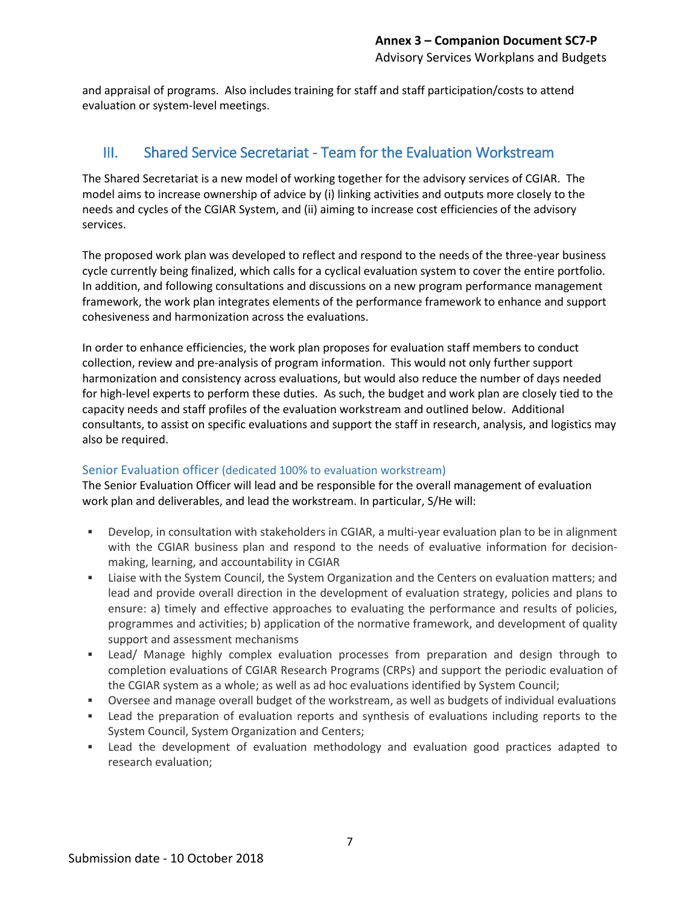and appraisal of programs. Also includes training for staff and staff participation/costs to attend evaluation or system-level meetings.

### III. Shared Service Secretariat - Team for the Evaluation Workstream

The Shared Secretariat is a new model of working together for the advisory services of CGIAR. The model aims to increase ownership of advice by (i) linking activities and outputs more closely to the needs and cycles of the CGIAR System, and (ii) aiming to increase cost efficiencies of the advisory services.

The proposed work plan was developed to reflect and respond to the needs of the three-year business cycle currently being finalized, which calls for a cyclical evaluation system to cover the entire portfolio. In addition, and following consultations and discussions on a new program performance management framework, the work plan integrates elements of the performance framework to enhance and support cohesiveness and harmonization across the evaluations.

In order to enhance efficiencies, the work plan proposes for evaluation staff members to conduct collection, review and pre-analysis of program information. This would not only further support harmonization and consistency across evaluations, but would also reduce the number of days needed for high-level experts to perform these duties. As such, the budget and work plan are closely tied to the capacity needs and staff profiles of the evaluation workstream and outlined below. Additional consultants, to assist on specific evaluations and support the staff in research, analysis, and logistics may also be required.

### Senior Evaluation officer (dedicated 100% to evaluation workstream)

The Senior Evaluation Officer will lead and be responsible for the overall management of evaluation work plan and deliverables, and lead the workstream. In particular, S/He will:

- Develop, in consultation with stakeholders in CGIAR, a multi-year evaluation plan to be in alignment with the CGIAR business plan and respond to the needs of evaluative information for decisionmaking, learning, and accountability in CGIAR
- Liaise with the System Council, the System Organization and the Centers on evaluation matters; and lead and provide overall direction in the development of evaluation strategy, policies and plans to ensure: a) timely and effective approaches to evaluating the performance and results of policies, programmes and activities; b) application of the normative framework, and development of quality support and assessment mechanisms
- Lead/ Manage highly complex evaluation processes from preparation and design through to completion evaluations of CGIAR Research Programs (CRPs) and support the periodic evaluation of the CGIAR system as a whole; as well as ad hoc evaluations identified by System Council;
- Oversee and manage overall budget of the workstream, as well as budgets of individual evaluations
- Lead the preparation of evaluation reports and synthesis of evaluations including reports to the System Council, System Organization and Centers;
- Lead the development of evaluation methodology and evaluation good practices adapted to research evaluation;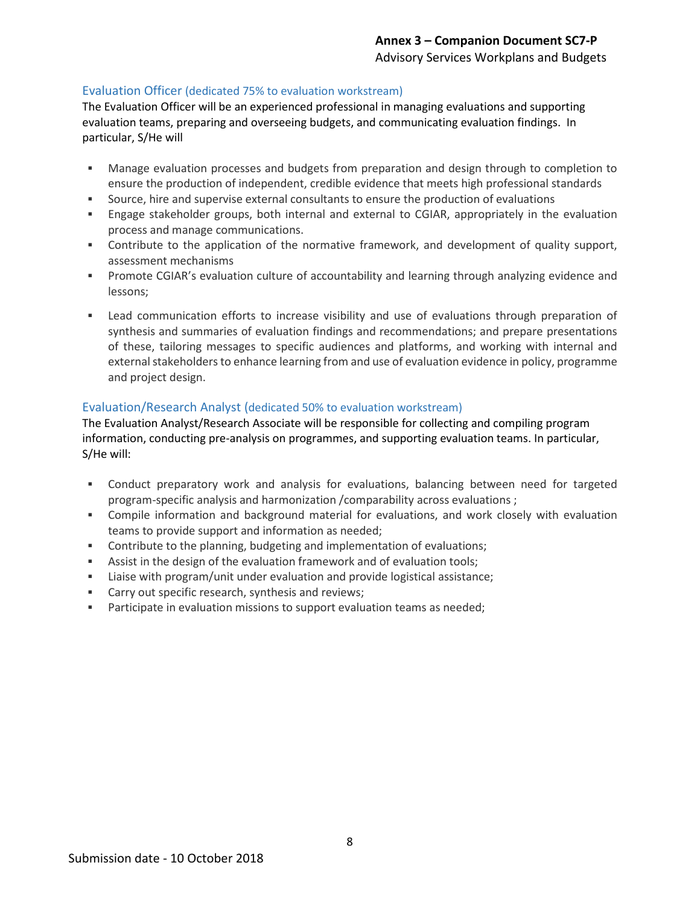### Evaluation Officer (dedicated 75% to evaluation workstream)

The Evaluation Officer will be an experienced professional in managing evaluations and supporting evaluation teams, preparing and overseeing budgets, and communicating evaluation findings.In particular, S/He will

- Manage evaluation processes and budgets from preparation and design through to completion to ensure the production of independent, credible evidence that meets high professional standards
- Source, hire and supervise external consultants to ensure the production of evaluations
- Engage stakeholder groups, both internal and external to CGIAR, appropriately in the evaluation process and manage communications.
- Contribute to the application of the normative framework, and development of quality support, assessment mechanisms
- Promote CGIAR's evaluation culture of accountability and learning through analyzing evidence and lessons;
- Lead communication efforts to increase visibility and use of evaluations through preparation of synthesis and summaries of evaluation findings and recommendations; and prepare presentations of these, tailoring messages to specific audiences and platforms, and working with internal and external stakeholders to enhance learning from and use of evaluation evidence in policy, programme and project design.

### Evaluation/Research Analyst (dedicated 50% to evaluation workstream)

The Evaluation Analyst/Research Associate will be responsible for collecting and compiling program information, conducting pre-analysis on programmes, and supporting evaluation teams. In particular, S/He will:

- Conduct preparatory work and analysis for evaluations, balancing between need for targeted program-specific analysis and harmonization /comparability across evaluations ;
- Compile information and background material for evaluations, and work closely with evaluation teams to provide support and information as needed;
- Contribute to the planning, budgeting and implementation of evaluations;
- Assist in the design of the evaluation framework and of evaluation tools;
- Liaise with program/unit under evaluation and provide logistical assistance;
- Carry out specific research, synthesis and reviews;
- **Participate in evaluation missions to support evaluation teams as needed;**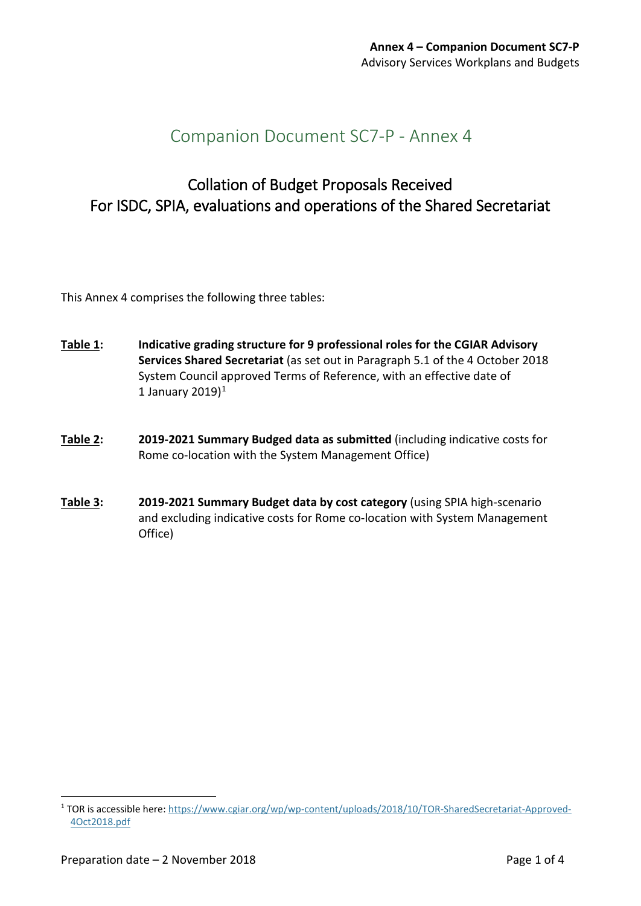# Companion Document SC7-P - Annex 4

# Collation of Budget Proposals Received For ISDC, SPIA, evaluations and operations of the Shared Secretariat

This Annex 4 comprises the following three tables:

- **Table 1: Indicative grading structure for 9 professional roles for the CGIAR Advisory Services Shared Secretariat** (as set out in Paragraph 5.1 of the 4 October 2018 System Council approved Terms of Reference, with an effective date of [1](#page-21-0) January 2019 $)^1$
- **Table 2: 2019-2021 Summary Budged data as submitted** (including indicative costs for Rome co-location with the System Management Office)
- **Table 3: 2019-2021 Summary Budget data by cost category** (using SPIA high-scenario and excluding indicative costs for Rome co-location with System Management Office)

-

<span id="page-21-0"></span><sup>1</sup> TOR is accessible here: [https://www.cgiar.org/wp/wp-content/uploads/2018/10/TOR-SharedSecretariat-Approved-](https://www.cgiar.org/wp/wp-content/uploads/2018/10/TOR-SharedSecretariat-Approved-4Oct2018.pdf)[4Oct2018.pdf](https://www.cgiar.org/wp/wp-content/uploads/2018/10/TOR-SharedSecretariat-Approved-4Oct2018.pdf)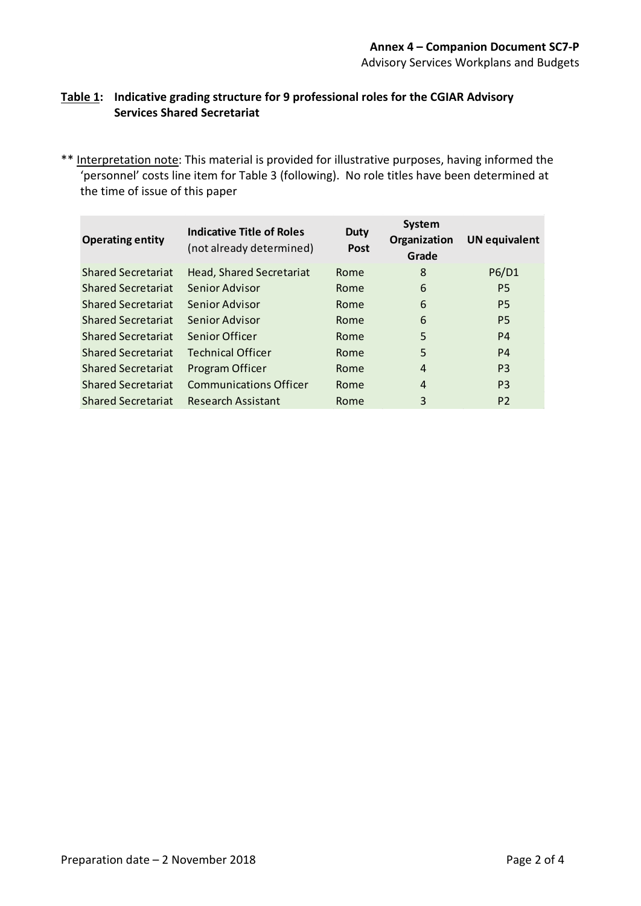### **Table 1: Indicative grading structure for 9 professional roles for the CGIAR Advisory Services Shared Secretariat**

\*\* Interpretation note: This material is provided for illustrative purposes, having informed the 'personnel' costs line item for Table 3 (following). No role titles have been determined at the time of issue of this paper

| <b>Operating entity</b>   | Indicative Title of Roles<br>(not already determined) | <b>Duty</b><br><b>Post</b> | <b>System</b><br>Organization<br>Grade | <b>UN equivalent</b> |
|---------------------------|-------------------------------------------------------|----------------------------|----------------------------------------|----------------------|
| <b>Shared Secretariat</b> | Head, Shared Secretariat                              | Rome                       | 8                                      | P6/D1                |
| <b>Shared Secretariat</b> | Senior Advisor                                        | Rome                       | 6                                      | P <sub>5</sub>       |
| <b>Shared Secretariat</b> | Senior Advisor                                        | Rome                       | 6                                      | P <sub>5</sub>       |
| <b>Shared Secretariat</b> | Senior Advisor                                        | Rome                       | 6                                      | P <sub>5</sub>       |
| <b>Shared Secretariat</b> | Senior Officer                                        | Rome                       | 5                                      | P4                   |
| <b>Shared Secretariat</b> | <b>Technical Officer</b>                              | Rome                       | 5                                      | P4                   |
| <b>Shared Secretariat</b> | Program Officer                                       | Rome                       | 4                                      | P <sub>3</sub>       |
| <b>Shared Secretariat</b> | <b>Communications Officer</b>                         | Rome                       | 4                                      | P <sub>3</sub>       |
| <b>Shared Secretariat</b> | Research Assistant                                    | Rome                       | 3                                      | P <sub>2</sub>       |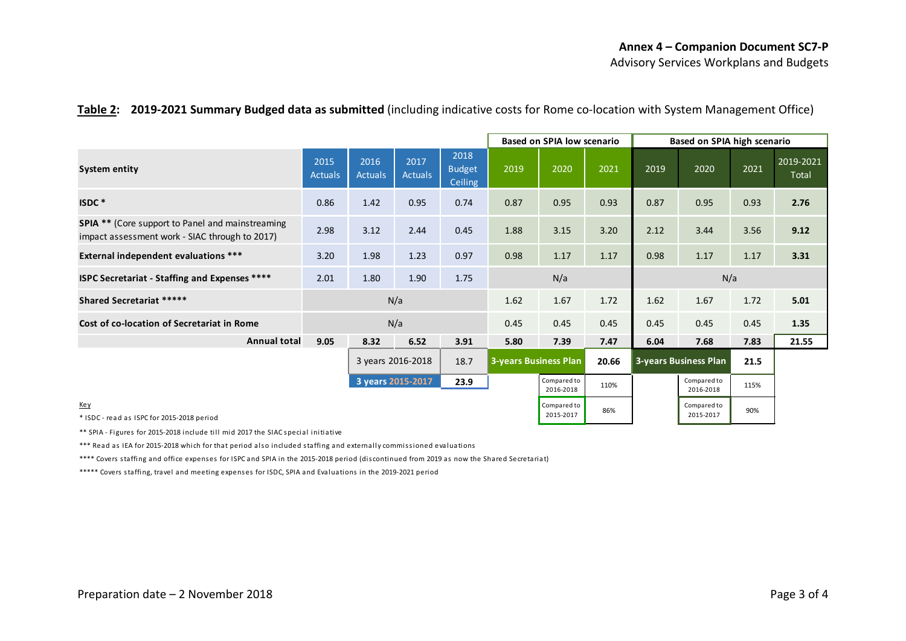### **Table 2: 2019-2021 Summary Budged data as submitted** (including indicative costs for Rome co-location with System Management Office)

|                                                                                                           |                           |                             |                        | <b>Based on SPIA low scenario</b> |      | Based on SPIA high scenario |      |                              |                          |      |                    |
|-----------------------------------------------------------------------------------------------------------|---------------------------|-----------------------------|------------------------|-----------------------------------|------|-----------------------------|------|------------------------------|--------------------------|------|--------------------|
| System entity                                                                                             | 2015<br><b>Actuals</b>    | 2016<br><b>Actuals</b>      | 2017<br><b>Actuals</b> | 2018<br><b>Budget</b><br>Ceiling  | 2019 | 2020                        | 2021 | 2019                         | 2020                     | 2021 | 2019-2021<br>Total |
| ISDC*                                                                                                     | 0.86                      | 1.42                        | 0.95                   | 0.74                              | 0.87 | 0.95                        | 0.93 | 0.87                         | 0.95                     | 0.93 | 2.76               |
| <b>SPIA **</b> (Core support to Panel and mainstreaming<br>impact assessment work - SIAC through to 2017) | 2.98                      | 3.12                        | 2.44                   | 0.45                              | 1.88 | 3.15                        | 3.20 | 2.12                         | 3.44                     | 3.56 | 9.12               |
| <b>External independent evaluations ***</b>                                                               | 3.20                      | 1.98                        | 1.23                   | 0.97                              | 0.98 | 1.17                        | 1.17 | 0.98                         | 1.17                     | 1.17 | 3.31               |
| <b>ISPC Secretariat - Staffing and Expenses ****</b>                                                      | 2.01                      | N/a<br>1.80<br>1.90<br>1.75 |                        | N/a                               |      |                             |      |                              |                          |      |                    |
| <b>Shared Secretariat *****</b>                                                                           | N/a                       |                             |                        | 1.62                              | 1.67 | 1.72                        | 1.62 | 1.67                         | 1.72                     | 5.01 |                    |
| Cost of co-location of Secretariat in Rome                                                                |                           |                             | N/a                    |                                   | 0.45 | 0.45                        | 0.45 | 0.45                         | 0.45                     | 0.45 | 1.35               |
| <b>Annual total</b>                                                                                       | 9.05                      | 8.32                        | 6.52                   | 3.91                              | 5.80 | 7.39                        | 7.47 | 6.04                         | 7.68                     | 7.83 | 21.55              |
|                                                                                                           | 3 years 2016-2018<br>18.7 |                             |                        | <b>3-years Business Plan</b>      |      | 20.66                       |      | <b>3-years Business Plan</b> | 21.5                     |      |                    |
|                                                                                                           |                           | 3 years 2015-2017           |                        | 23.9                              |      | Compared to<br>2016-2018    | 110% |                              | Compared to<br>2016-2018 | 115% |                    |
| <u>Key</u><br>* ISDC - read as ISPC for 2015-2018 period                                                  |                           |                             |                        |                                   |      | Compared to<br>2015-2017    | 86%  |                              | Compared to<br>2015-2017 | 90%  |                    |

\*\* SPIA - Figures for 2015-2018 include till mid 2017 the SIAC special initiative

\*\*\* Read as IEA for 2015-2018 which for that period also included staffing and externally commissioned evaluations

\*\*\*\* Covers staffing and office expenses for ISPC and SPIA in the 2015-2018 period (discontinued from 2019 as now the Shared Secretariat)

\*\*\*\*\* Covers staffing, travel and meeting expenses for ISDC, SPIA and Evaluations in the 2019-2021 period